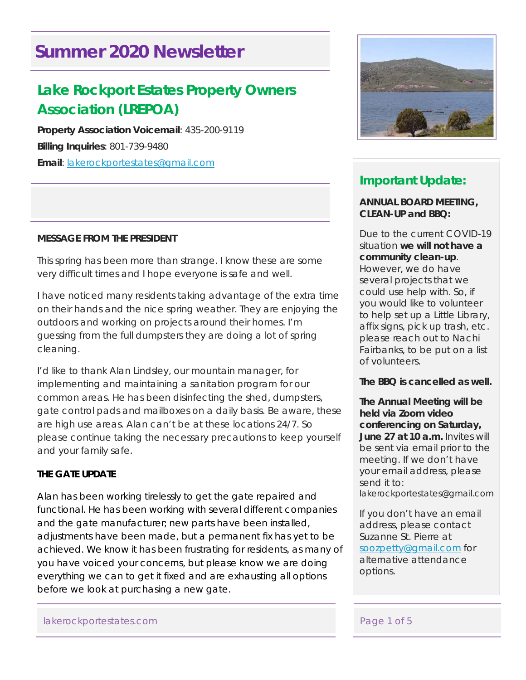# **Summer 2020 Newsletter**

# **Lake Rockport Estates Property Owners Association (LREPOA)**

**Property Association Voicemail**: 435-200-9119 **Billing Inquiries**: 801-739-9480 **Email**: lakerockportestates@gmail.com

### **MESSAGE FROM THE PRESIDENT**

This spring has been more than strange. I know these are some very difficult times and I hope everyone is safe and well.

I have noticed many residents taking advantage of the extra time on their hands and the nice spring weather. They are enjoying the outdoors and working on projects around their homes. I'm guessing from the full dumpsters they are doing a lot of spring cleaning.

I'd like to thank Alan Lindsley, our mountain manager, for implementing and maintaining a sanitation program for our common areas. He has been disinfecting the shed, dumpsters, gate control pads and mailboxes on a daily basis. Be aware, these are high use areas. Alan can't be at these locations 24/7. So please continue taking the necessary precautions to keep yourself and your family safe.

## **THE GATE UPDATE**

Alan has been working tirelessly to get the gate repaired and functional. He has been working with several different companies and the gate manufacturer; new parts have been installed, adjustments have been made, but a permanent fix has yet to be achieved. We know it has been frustrating for residents, as many of you have voiced your concerns, but please know we are doing everything we can to get it fixed and are exhausting all options before we look at purchasing a new gate.



# **Important Update:**

#### **ANNUAL BOARD MEETING, CLEAN-UP and BBQ:**

Due to the current COVID-19 situation **we will not have a community clean-up**. However, we do have several projects that we could use help with. So, if you would like to volunteer to help set up a Little Library, affix signs, pick up trash, etc. please reach out to Nachi Fairbanks, to be put on a list of volunteers.

**The BBQ is cancelled as well.** 

**The Annual Meeting will be held via Zoom video conferencing on Saturday, June 27 at 10 a.m.** Invites will be sent via email prior to the meeting. If we don't have your email address, please send it to:

lakerockportestates@gmail.com

If you don't have an email address, please contact Suzanne St. Pierre at soozpetty@gmail.com for alternative attendance options.

#### lakerockportestates.com Page 1 of 5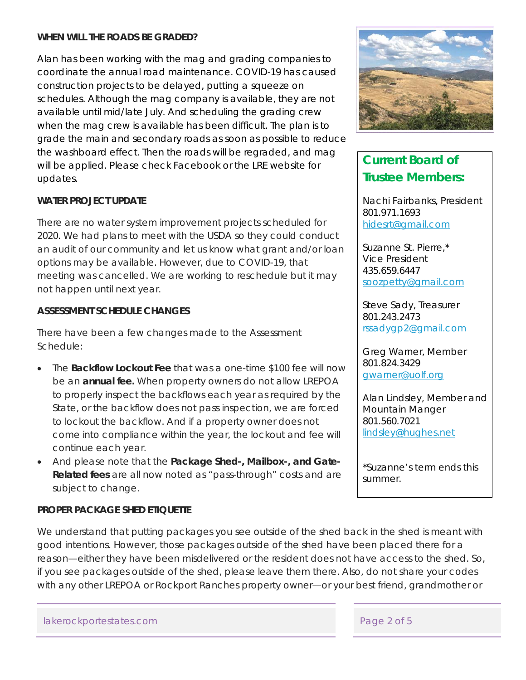#### **WHEN WILL THE ROADS BE GRADED?**

Alan has been working with the mag and grading companies to coordinate the annual road maintenance. COVID-19 has caused construction projects to be delayed, putting a squeeze on schedules. Although the mag company is available, they are not available until mid/late July. And scheduling the grading crew when the mag crew is available has been difficult. The plan is to grade the main and secondary roads as soon as possible to reduce the washboard effect. Then the roads will be regraded, and mag will be applied. Please check Facebook or the LRE website for updates.

#### **WATER PROJECT UPDATE**

There are no water system improvement projects scheduled for 2020. We had plans to meet with the USDA so they could conduct an audit of our community and let us know what grant and/or loan options may be available. However, due to COVID-19, that meeting was cancelled. We are working to reschedule but it may not happen until next year.

#### **ASSESSMENT SCHEDULE CHANGES**

There have been a few changes made to the Assessment Schedule:

- The **Backflow Lockout Fee** that was a one-time \$100 fee will now be an **annual fee.** When property owners do not allow LREPOA to properly inspect the backflows each year as required by the State, or the backflow does not pass inspection, we are forced to lockout the backflow. And if a property owner does not come into compliance within the year, the lockout and fee will continue each year.
- And please note that the **Package Shed-, Mailbox-, and Gate-Related fees** are all now noted as "pass-through" costs and are subject to change.

#### **PROPER PACKAGE SHED ETIQUETTE**

We understand that putting packages you see outside of the shed back in the shed is meant with good intentions. However, those packages outside of the shed have been placed there for a reason—either they have been misdelivered or the resident does not have access to the shed. So, if you see packages outside of the shed, please leave them there. Also, do not share your codes with any other LREPOA or Rockport Ranches property owner—or your best friend, grandmother or



# **Current Board of Trustee Members:**

Nachi Fairbanks, President 801.971.1693 hidesrt@gmail.com

Suzanne St. Pierre,\* Vice President 435.659.6447 soozpetty@gmail.com

Steve Sady, Treasurer 801.243.2473 rssadygp2@gmail.com

Greg Warner, Member 801.824.3429 gwarner@uolf.org

Alan Lindsley, Member and Mountain Manger 801.560.7021 lindsley@hughes.net

*\*Suzanne's term ends this summer.*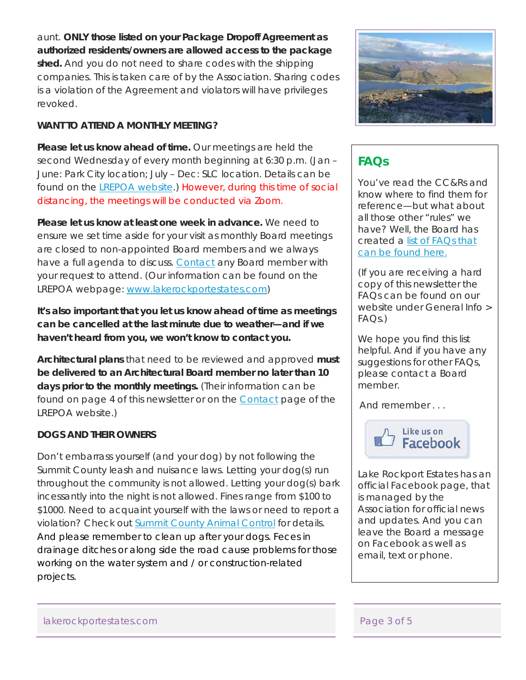aunt. **ONLY those listed on your Package Dropoff Agreement as authorized residents/owners are allowed access to the package shed.** And you do not need to share codes with the shipping companies. This is taken care of by the Association. Sharing codes is a violation of the Agreement and violators will have privileges revoked.

#### **WANT TO ATTEND A MONTHLY MEETING?**

**Please let us know ahead of time.** Our meetings are held the second Wednesday of every month beginning at 6:30 p.m. (Jan – June: Park City location; July – Dec: SLC location. Details can be found on the **LREPOA** website.) However, during this time of social distancing, the meetings will be conducted via Zoom.

**Please let us know at least one week in advance.** We need to ensure we set time aside for your visit as monthly Board meetings are closed to non-appointed Board members and we always have a full agenda to discuss. Contact any Board member with your request to attend. (Our information can be found on the LREPOA webpage: www.lakerockportestates.com)

**It's also important that you let us know ahead of time as meetings can be cancelled at the last minute due to weather—and if we haven't heard from you, we won't know to contact you.** 

**Architectural plans** that need to be reviewed and approved **must be delivered to an Architectural Board member no later than 10 days prior to the monthly meetings.** (Their information can be found on page 4 of this newsletter or on the **Contact** page of the LREPOA website.)

#### **DOGS AND THEIR OWNERS**

Don't embarrass yourself (and your dog) by not following the Summit County leash and nuisance laws. Letting your dog(s) run throughout the community is not allowed. Letting your dog(s) bark incessantly into the night is not allowed. Fines range from \$100 to \$1000. Need to acquaint yourself with the laws or need to report a violation? Check out Summit County Animal Control for details. And please remember to clean up after your dogs. Feces in drainage ditches or along side the road cause problems for those working on the water system and / or construction-related projects.



# **FAQs**

You've read the CC&Rs and know where to find them for reference—but what about all those other "rules" we have? Well, the Board has created a list of FAQs that can be found here.

(If you are receiving a hard copy of this newsletter the FAQs can be found on our website under General Info >  $FAOs$ )

We hope you find this list helpful. And if you have any suggestions for other FAQs, please contact a Board member.

And remember . . .



Lake Rockport Estates has an official Facebook page, that is managed by the Association for official news and updates. And you can leave the Board a message on Facebook as well as email, text or phone.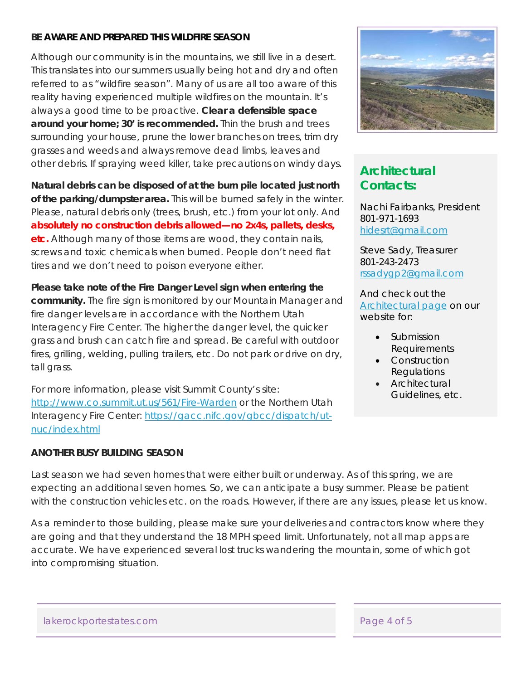#### **BE AWARE AND PREPARED THIS WILDFIRE SEASON**

Although our community is in the mountains, we still live in a desert. This translates into our summers usually being hot and dry and often referred to as "wildfire season". Many of us are all too aware of this reality having experienced multiple wildfires on the mountain. It's always a good time to be proactive. **Clear a defensible space around your home; 30' is recommended.** Thin the brush and trees surrounding your house, prune the lower branches on trees, trim dry grasses and weeds and always remove dead limbs, leaves and other debris. If spraying weed killer, take precautions on windy days.

**Natural debris can be disposed of at the burn pile located just north of the parking/dumpster area.** This will be burned safely in the winter. Please, natural debris only (trees, brush, etc.) from your lot only. And **absolutely no construction debris allowed—no 2x4s, pallets, desks, etc.** Although many of those items are wood, they contain nails, screws and toxic chemicals when burned. People don't need flat tires and we don't need to poison everyone either.

**Please take note of the Fire Danger Level sign when entering the community.** The fire sign is monitored by our Mountain Manager and fire danger levels are in accordance with the Northern Utah Interagency Fire Center. The higher the danger level, the quicker grass and brush can catch fire and spread. Be careful with outdoor fires, grilling, welding, pulling trailers, etc. Do not park or drive on dry, tall grass.

For more information, please visit Summit County's site: http://www.co.summit.ut.us/561/Fire-Warden or the Northern Utah Interagency Fire Center: https://gacc.nifc.gov/gbcc/dispatch/utnuc/index.html

#### **ANOTHER BUSY BUILDING SEASON**



# **Architectural Contacts:**

Nachi Fairbanks, President 801-971-1693 hidesrt@gmail.com

Steve Sady, Treasurer 801-243-2473 rssadygp2@gmail.com

And check out the Architectural page on our website for:

- Submission Requirements
- Construction Regulations
- Architectural Guidelines, etc.

Last season we had seven homes that were either built or underway. As of this spring, we are expecting an additional seven homes. So, we can anticipate a busy summer. Please be patient with the construction vehicles etc. on the roads. However, if there are any issues, please let us know.

As a reminder to those building, please make sure your deliveries and contractors know where they are going and that they understand the 18 MPH speed limit. Unfortunately, not all map apps are accurate. We have experienced several lost trucks wandering the mountain, some of which got into compromising situation.

lakerockportestates.com Page 4 of 5